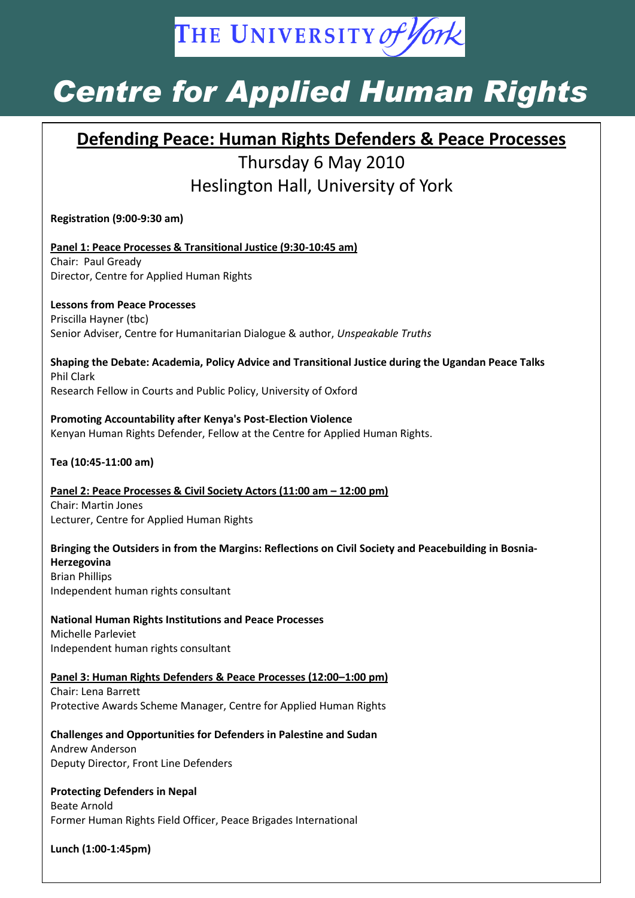

# *Centre for Applied Human Rights*

### **Defending Peace: Human Rights Defenders & Peace Processes**

Thursday 6 May 2010 Heslington Hall, University of York

**Registration (9:00-9:30 am)**

#### **Panel 1: Peace Processes & Transitional Justice (9:30-10:45 am)**

Chair: Paul Gready Director, Centre for Applied Human Rights

#### **Lessons from Peace Processes**

Priscilla Hayner (tbc) Senior Adviser, Centre for Humanitarian Dialogue & author, *Unspeakable Truths*

**Shaping the Debate: Academia, Policy Advice and Transitional Justice during the Ugandan Peace Talks** Phil Clark Research Fellow in Courts and Public Policy, University of Oxford

**Promoting Accountability after Kenya's Post-Election Violence** Kenyan Human Rights Defender, Fellow at the Centre for Applied Human Rights.

**Tea (10:45-11:00 am)**

**Panel 2: Peace Processes & Civil Society Actors (11:00 am - 12:00 pm)** Chair: Martin Jones Lecturer, Centre for Applied Human Rights

**Bringing the Outsiders in from the Margins: Reflections on Civil Society and Peacebuilding in Bosnia-Herzegovina** Brian Phillips Independent human rights consultant

**National Human Rights Institutions and Peace Processes** Michelle Parleviet Independent human rights consultant

**Panel 3: Human Rights Defenders & Peace Processes (12:00–1:00 pm)** Chair: Lena Barrett Protective Awards Scheme Manager, Centre for Applied Human Rights

**Challenges and Opportunities for Defenders in Palestine and Sudan** Andrew Anderson Deputy Director, Front Line Defenders

**Protecting Defenders in Nepal** Beate Arnold Former Human Rights Field Officer, Peace Brigades International

**Lunch (1:00-1:45pm)**